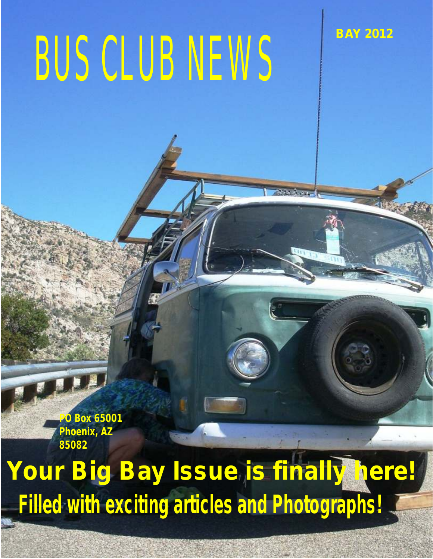# BUS CLUB NEWS

**BAY 2012**

**PO Box 65001 Phoenix, AZ 85082**

### *Your Big Bay Issue is finally here! Filled with exciting articles and Photographs!*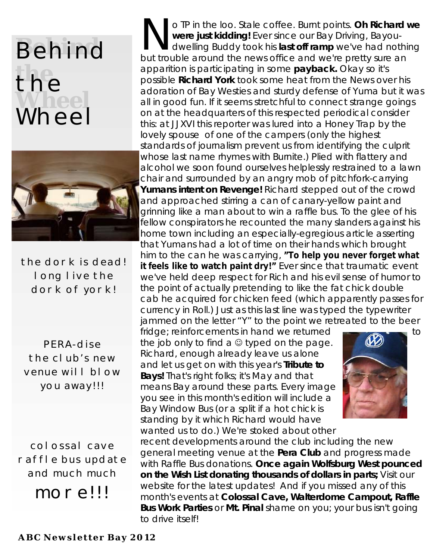#### **Behind the** the<br>Wheel Wheel



the dork is dead! long live the dork of york!

PERA-dise the club's new venue will blow you away!!!

colossal cave raffle bus update and much much more!!!

o TP in the loo. Stale coffee. Burnt points. Oh Richard we were just kidding! Ever since our Bay Driving, Bayoudwelling Buddy took his **last off ramp** we've had nothing but trouble around the news office and we're pretty sure an apparition is participating in some **payback.** Okay so it's possible **Richard York** took some heat from the News over his adoration of Bay Westies and sturdy defense of Yuma but it was all in good fun. If it seems stretchful to connect strange goings on at the headquarters of this respected periodical consider this: at JJXVI this reporter was lured into a Honey Trap by the lovely spouse of one of the campers (only the highest standards of journalism prevent us from identifying the culprit whose last name rhymes with Burnite.) Plied with flattery and alcohol we soon found ourselves helplessly restrained to a lawn chair and surrounded by an angry mob of pitchfork-carrying **Yumans intent on Revenge!** Richard stepped out of the crowd and approached stirring a can of canary-yellow paint and grinning like a man about to win a raffle bus. To the glee of his fellow conspirators he recounted the many slanders against his home town including an especially-egregious article asserting that Yumans had a lot of time on their hands which brought him to the can he was carrying, *"To help you never forget what it feels like to watch paint dry!"* Ever since that traumatic event we've held deep respect for Rich and his evil sense of humor to the point of actually pretending to like the fat chick double

cab he acquired for chicken feed (which apparently passes for currency in Roll.) Just as this last line was typed the typewriter jammed on the letter "Y" to the point we retreated to the beer

fridge; reinforcements in hand we returned to the job only to find a  $\odot$  typed on the page. Richard, enough already leave us alone and let us get on with this year's **Tribute to Bays!** That's right folks; it's May and that means Bay around these parts. Every image you see in this month's edition will include a Bay Window Bus (or a split if a hot chick is standing by it which Richard would have wanted us to do.) We're stoked about other



recent developments around the club including the new general meeting venue at the **Pera Club** and progress made with Raffle Bus donations. **Once again Wolfsburg West pounced on the Wish List donating thousands of dollars in parts;** Visit our website for the latest updates! And if you missed any of this month's events at **Colossal Cave, Walterdome Campout, Raffle Bus Work Parties** or **Mt. Pinal** shame on you; your bus isn't going to drive itself!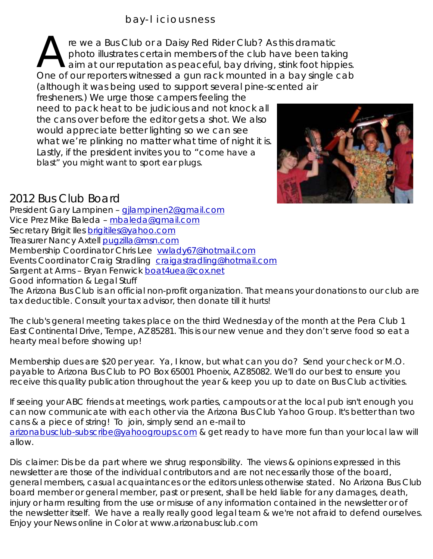re we a Bus Club or a Daisy Red Rider Club? As this dramatic<br>photo illustrates certain members of the club have been taking<br>aim at our reputation as peaceful, bay driving, stink foot hippies<br>One of our reporters witnessed aim at our reputation as peaceful, bay driving, stink foot hippies. One of our reporters witnessed a gun rack mounted in a bay single cab (although it was being used to support several pine-scented air

fresheners.) We urge those campers feeling the need to pack heat to be judicious and not knock all the cans over before the editor gets a shot. We also would appreciate better lighting so we can see what we're plinking no matter what time of night it is. Lastly, if the president invites you to "come have a blast" you might want to sport ear plugs.



#### 2012 Bus Club Board

President Gary Lampinen – gjlampinen2@gmail.com Vice Prez Mike Baleda – <u>mbaleda@gmail.com</u> Secretary Brigit lles <u>brigitiles@yahoo.com</u> Treasurer Nancy Axtell **pugzilla@msn.com** Membership Coordinator Chris Lee vwlady67@hotmail.com Events Coordinator Craig Stradling craigastradling@hotmail.com Sargent at Arms – Bryan Fenwick boat4uea@cox.net Good information & Legal Stuff The Arizona Bus Club is an official non-profit organization. That means your donations to our club are tax deductible. Consult your tax advisor, then donate till it hurts!

The club's general meeting takes place on the third Wednesday of the month at the Pera Club 1 East Continental Drive, Tempe, AZ 85281. This is our new venue and they don't serve food so eat a hearty meal before showing up!

Membership dues are \$20 per year. Ya, I know, but what can you do? Send your check or M.O. payable to Arizona Bus Club to PO Box 65001 Phoenix, AZ 85082. We'll do our best to ensure you receive this quality publication throughout the year & keep you up to date on Bus Club activities.

If seeing your ABC friends at meetings, work parties, campouts or at the local pub isn't enough you can now communicate with each other via the Arizona Bus Club Yahoo Group. It's better than two cans & a piece of string! To join, simply send an e-mail to arizonabusclub-subscribe@yahoogroups.com & get ready to have more fun than your local law will allow.

Dis claimer: Dis be da part where we shrug responsibility. The views & opinions expressed in this newsletter are those of the individual contributors and are not necessarily those of the board, general members, casual acquaintances or the editors unless otherwise stated. No Arizona Bus Club board member or general member, past or present, shall be held liable for any damages, death, injury or harm resulting from the use or misuse of any information contained in the newsletter or of the newsletter itself. We have a really really good legal team & we're not afraid to defend ourselves. Enjoy your News online in Color at www.arizonabusclub.com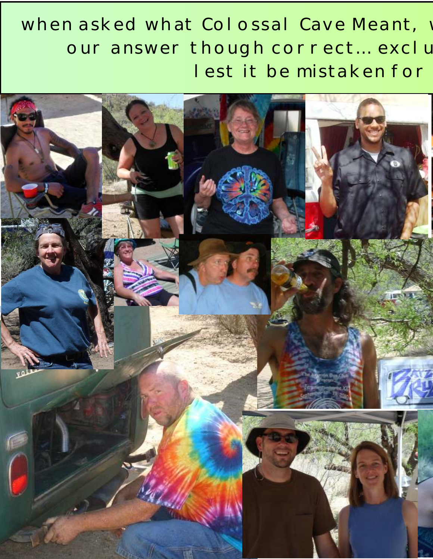#### when asked what Colossal Cave Meant, our answer though correct ... exclu lest it be mistaken for

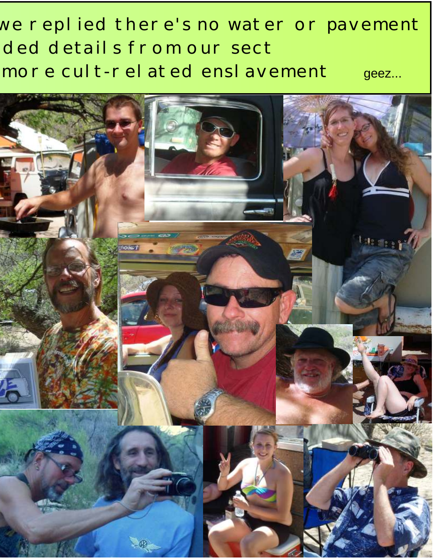#### we replied there's no water or pavement ded details from our sect more cult-rel ated ensl avement geez...

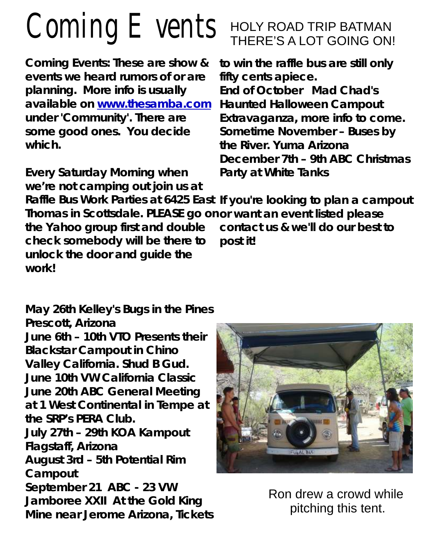# Coming Events

**Coming Events: These are show & to win the raffle bus are still only events we heard rumors of or are fifty cents apiece. planning. More info is usually End of October Mad Chad's**  available on www.thesamba.com Haunted Halloween Campout **under 'Community'. There are Extravaganza, more info to come.** some good ones. You decide Sometime November - Buses by **which. the River. Yuma Arizona**

**Every Saturday Morning when Party at White Tanks we're not camping out join us at** 

#### HOLY ROAD TRIP BATMAN THERE'S A LOT GOING ON!

**December 7th – 9th ABC Christmas** 

**Raffle Bus Work Parties at 6425 East If you're looking to plan a campout Thomas in Scottsdale. PLEASE go on or want an event listed please the Yahoo group first and double contact us & we'll do our best to check somebody will be there to post it! unlock the door and guide the work!**

**May 26th Kelley's Bugs in the Pines Prescott, Arizona June 6th – 10th VTO Presents their Blackstar Campout in Chino Valley California. Shud B Gud. June 10th VW California Classic June 20th ABC General Meeting at 1 West Continental in Tempe at the SRP's PERA Club. July 27th – 29th KOA Kampout Flagstaff, Arizona August 3rd – 5th Potential Rim Campout September 21 ABC - 23 VW Jamboree XXII At the Gold King Mine near Jerome Arizona, Tickets** 



Ron drew a crowd while pitching this tent.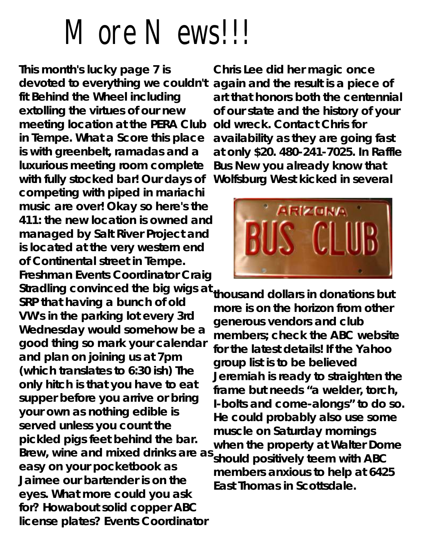## More News!!!

**This month's lucky page 7 is Chris Lee did her magic once devoted to everything we couldn't again and the result is a piece of fit Behind the Wheel including art that honors both the centennial extolling the virtues of our new of our state and the history of your meeting location at the PERA Club old wreck. Contact Chris for in Tempe. What a Score this place availability as they are going fast is with greenbelt, ramadas and a at only \$20. 480-241-7025. In Raffle luxurious meeting room complete Bus New you already know that with fully stocked bar! Our days of Wolfsburg West kicked in several competing with piped in mariachi music are over! Okay so here's the 411: the new location is owned and managed by Salt River Project and is located at the very western end of Continental street in Tempe.**  Freshman Events Coordinator Craig<br>
Stradling convinced the big wigs at <sub>thousand</sub> dollars in donations but Stradling convinced the big wigs at thousand dollars in donations but<br>SRP that having a bunch of old<br>
We's in the parking lot every 3rd<br>
more is on the horizon from other<br>
Wednesday would somehow be a<br>
generous vendors an **for? Howabout solid copper ABC license plates? Events Coordinator**